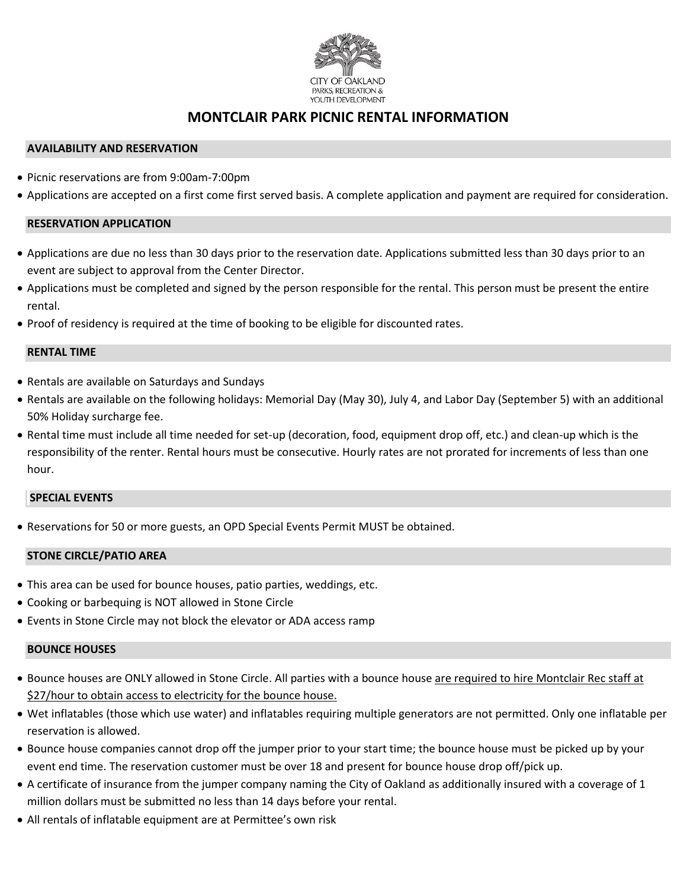

## **MONTCLAIR PARK PICNIC RENTAL INFORMATION**

### **AVAILABILITY AND RESERVATION**

- Picnic reservations are from 9:00am-7:00pm
- Applications are accepted on a first come first served basis. A complete application and payment are required for consideration.

#### **RESERVATION APPLICATION**

- Applications are due no less than 30 days prior to the reservation date. Applications submitted less than 30 days prior to an event are subject to approval from the Center Director.
- Applications must be completed and signed by the person responsible for the rental. This person must be present the entire rental.
- Proof of residency is required at the time of booking to be eligible for discounted rates.

#### **RENTAL TIME**

- Rentals are available on Saturdays and Sundays
- Rentals are available on the following holidays: Memorial Day (May 30), July 4, and Labor Day (September 5) with an additional 50% Holiday surcharge fee.
- Rental time must include all time needed for set-up (decoration, food, equipment drop off, etc.) and clean-up which is the responsibility of the renter. Rental hours must be consecutive. Hourly rates are not prorated for increments of less than one hour.

#### **SPECIAL EVENTS**

• Reservations for 50 or more guests, an OPD Special Events Permit MUST be obtained.

### **STONE CIRCLE/PATIO AREA**

- This area can be used for bounce houses, patio parties, weddings, etc.
- Cooking or barbequing is NOT allowed in Stone Circle
- Events in Stone Circle may not block the elevator or ADA access ramp

### **BOUNCE HOUSES**

- Bounce houses are ONLY allowed in Stone Circle. All parties with a bounce house are required to hire Montclair Rec staff at \$27/hour to obtain access to electricity for the bounce house.
- Wet inflatables (those which use water) and inflatables requiring multiple generators are not permitted. Only one inflatable per reservation is allowed.
- Bounce house companies cannot drop off the jumper prior to your start time; the bounce house must be picked up by your event end time. The reservation customer must be over 18 and present for bounce house drop off/pick up.
- A certificate of insurance from the jumper company naming the City of Oakland as additionally insured with a coverage of 1 million dollars must be submitted no less than 14 days before your rental.
- All rentals of inflatable equipment are at Permittee's own risk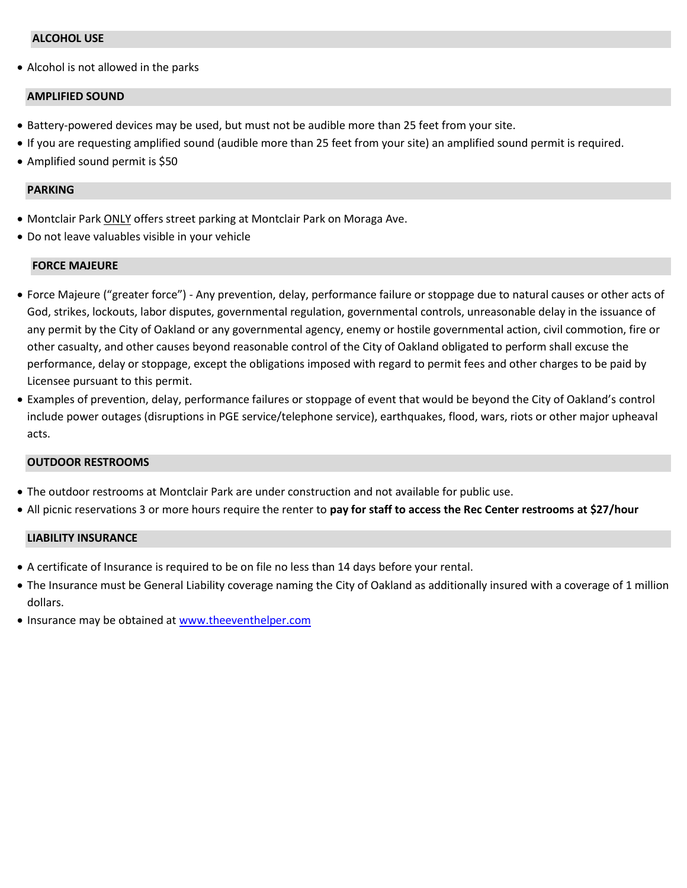### **ALCOHOL USE**

• Alcohol is not allowed in the parks

#### **AMPLIFIED SOUND**

- Battery-powered devices may be used, but must not be audible more than 25 feet from your site.
- If you are requesting amplified sound (audible more than 25 feet from your site) an amplified sound permit is required.
- Amplified sound permit is \$50

#### **PARKING**

- Montclair Park ONLY offers street parking at Montclair Park on Moraga Ave.
- Do not leave valuables visible in your vehicle

#### **FORCE MAJEURE**

- Force Majeure ("greater force") Any prevention, delay, performance failure or stoppage due to natural causes or other acts of God, strikes, lockouts, labor disputes, governmental regulation, governmental controls, unreasonable delay in the issuance of any permit by the City of Oakland or any governmental agency, enemy or hostile governmental action, civil commotion, fire or other casualty, and other causes beyond reasonable control of the City of Oakland obligated to perform shall excuse the performance, delay or stoppage, except the obligations imposed with regard to permit fees and other charges to be paid by Licensee pursuant to this permit.
- Examples of prevention, delay, performance failures or stoppage of event that would be beyond the City of Oakland's control include power outages (disruptions in PGE service/telephone service), earthquakes, flood, wars, riots or other major upheaval acts.

#### **OUTDOOR RESTROOMS**

- The outdoor restrooms at Montclair Park are under construction and not available for public use.
- All picnic reservations 3 or more hours require the renter to **pay for staff to access the Rec Center restrooms at \$27/hour**

#### **LIABILITY INSURANCE**

- A certificate of Insurance is required to be on file no less than 14 days before your rental.
- The Insurance must be General Liability coverage naming the City of Oakland as additionally insured with a coverage of 1 million dollars.
- Insurance may be obtained a[t www.theeventhelper.com](http://www.theeventhelper.com/)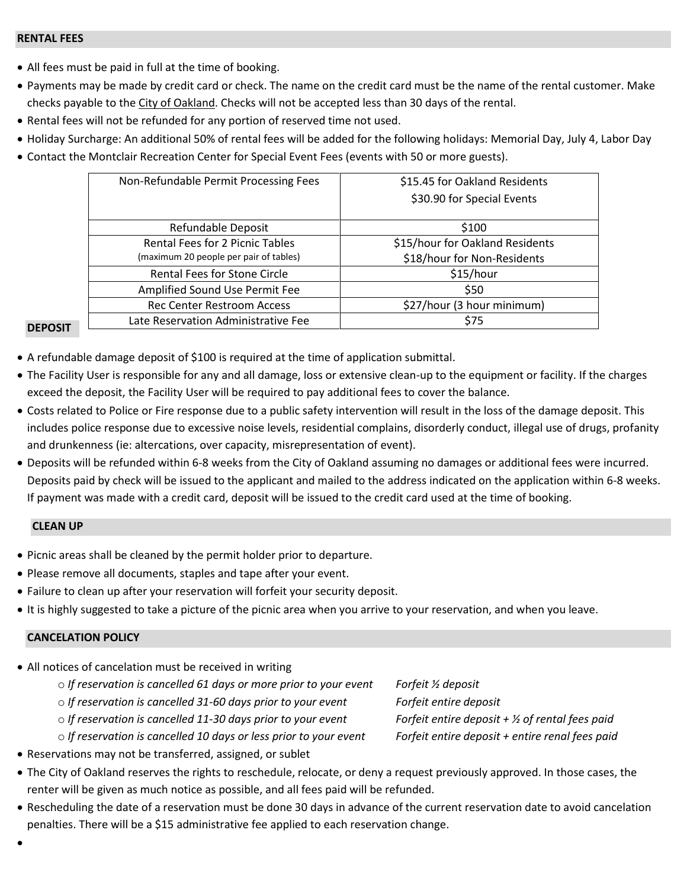#### **RENTAL FEES**

- All fees must be paid in full at the time of booking.
- Payments may be made by credit card or check. The name on the credit card must be the name of the rental customer. Make checks payable to the City of Oakland. Checks will not be accepted less than 30 days of the rental.
- Rental fees will not be refunded for any portion of reserved time not used.
- Holiday Surcharge: An additional 50% of rental fees will be added for the following holidays: Memorial Day, July 4, Labor Day
- Contact the Montclair Recreation Center for Special Event Fees (events with 50 or more guests).

| Non-Refundable Permit Processing Fees  | \$15.45 for Oakland Residents   |
|----------------------------------------|---------------------------------|
|                                        | \$30.90 for Special Events      |
|                                        |                                 |
| Refundable Deposit                     | \$100                           |
| <b>Rental Fees for 2 Picnic Tables</b> | \$15/hour for Oakland Residents |
| (maximum 20 people per pair of tables) | \$18/hour for Non-Residents     |
| Rental Fees for Stone Circle           | \$15/hour                       |
| Amplified Sound Use Permit Fee         | \$50                            |
| <b>Rec Center Restroom Access</b>      | \$27/hour (3 hour minimum)      |
| Late Reservation Administrative Fee    | \$75                            |

#### **DEPOSIT**

- A refundable damage deposit of \$100 is required at the time of application submittal.
- The Facility User is responsible for any and all damage, loss or extensive clean-up to the equipment or facility. If the charges exceed the deposit, the Facility User will be required to pay additional fees to cover the balance.
- Costs related to Police or Fire response due to a public safety intervention will result in the loss of the damage deposit. This includes police response due to excessive noise levels, residential complains, disorderly conduct, illegal use of drugs, profanity and drunkenness (ie: altercations, over capacity, misrepresentation of event).
- Deposits will be refunded within 6-8 weeks from the City of Oakland assuming no damages or additional fees were incurred. Deposits paid by check will be issued to the applicant and mailed to the address indicated on the application within 6-8 weeks. If payment was made with a credit card, deposit will be issued to the credit card used at the time of booking.

#### **CLEAN UP**

- Picnic areas shall be cleaned by the permit holder prior to departure.
- Please remove all documents, staples and tape after your event.
- Failure to clean up after your reservation will forfeit your security deposit.
- It is highly suggested to take a picture of the picnic area when you arrive to your reservation, and when you leave.

### **CANCELATION POLICY**

- All notices of cancelation must be received in writing
	- o *If reservation is cancelled 61 days or more prior to your event Forfeit ½ deposit*
	- o *If reservation is cancelled 31-60 days prior to your event Forfeit entire deposit*
	- o *If reservation is cancelled 11-30 days prior to your event Forfeit entire deposit + ½ of rental fees paid*
	- o *If reservation is cancelled 10 days or less prior to your event Forfeit entire deposit + entire renal fees paid*
- Reservations may not be transferred, assigned, or sublet
- The City of Oakland reserves the rights to reschedule, relocate, or deny a request previously approved. In those cases, the renter will be given as much notice as possible, and all fees paid will be refunded.
- Rescheduling the date of a reservation must be done 30 days in advance of the current reservation date to avoid cancelation penalties. There will be a \$15 administrative fee applied to each reservation change.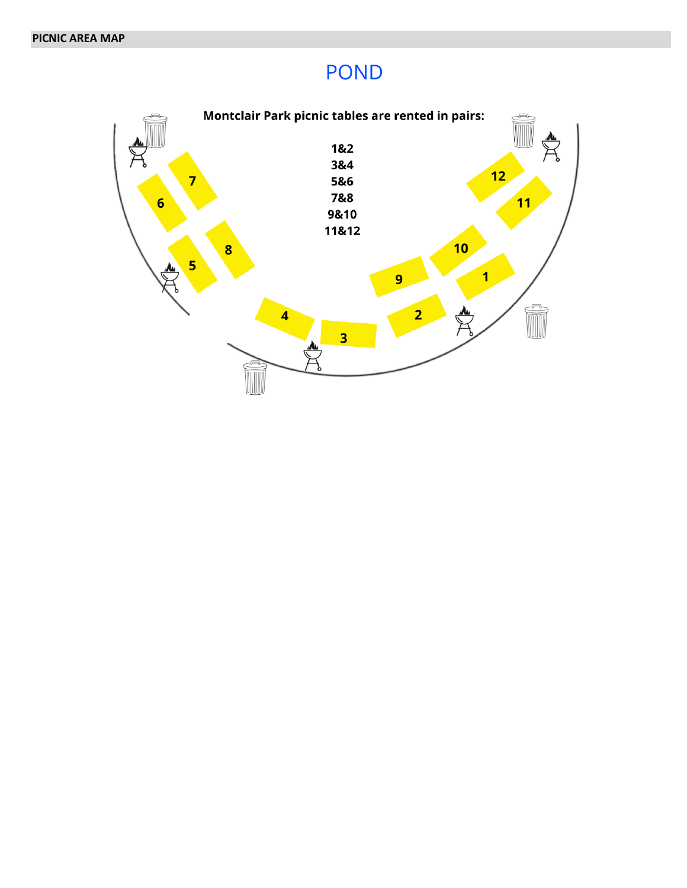# **POND**

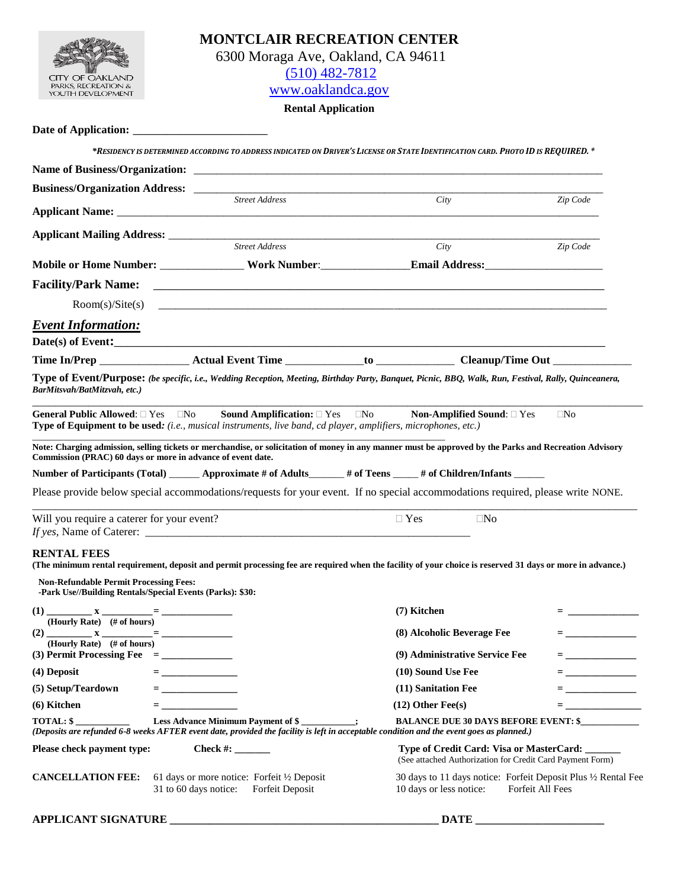

| <b>MONTCLAIR RECREATION CENTER</b> |
|------------------------------------|
| 6300 Moraga Ave, Oakland, CA 94611 |
| $(510)$ 482-7812                   |
|                                    |

[www.oaklandca.gov](http://www.oaklandca.gov/)

#### **Rental Application**

| <b>Date of Application:</b> |  |
|-----------------------------|--|
|-----------------------------|--|

\*RESIDENCY IS DETERMINED ACCORDING TO ADDRESS INDICATED ON DRIVER'S LICENSE OR STATE IDENTIFICATION CARD. PHOTO ID IS REQUIRED. \*

| Business/Organization Address: ______________               |                                                                                                                       |                                                                                                                                                                                         |                               |
|-------------------------------------------------------------|-----------------------------------------------------------------------------------------------------------------------|-----------------------------------------------------------------------------------------------------------------------------------------------------------------------------------------|-------------------------------|
|                                                             | <b>Street Address</b>                                                                                                 | City                                                                                                                                                                                    | Zip Code                      |
| <b>Applicant Mailing Address:</b>                           |                                                                                                                       |                                                                                                                                                                                         |                               |
|                                                             | <b>Street Address</b>                                                                                                 | City                                                                                                                                                                                    | Zip Code                      |
|                                                             |                                                                                                                       |                                                                                                                                                                                         |                               |
|                                                             |                                                                                                                       |                                                                                                                                                                                         |                               |
|                                                             |                                                                                                                       |                                                                                                                                                                                         |                               |
| <b>Event Information:</b>                                   |                                                                                                                       |                                                                                                                                                                                         |                               |
|                                                             |                                                                                                                       |                                                                                                                                                                                         |                               |
|                                                             |                                                                                                                       |                                                                                                                                                                                         |                               |
| BarMitsvah/BatMitzvah, etc.)                                |                                                                                                                       | <b>General Public Allowed:</b> $\square$ Yes $\square$ No Sound Amplification: $\square$ Yes $\square$ No Non-Amplified Sound: $\square$ Yes                                            | $\Box$ No                     |
|                                                             | <b>Type of Equipment to be used:</b> (i.e., musical instruments, live band, cd player, amplifiers, microphones, etc.) |                                                                                                                                                                                         |                               |
| Commission (PRAC) 60 days or more in advance of event date. |                                                                                                                       | Note: Charging admission, selling tickets or merchandise, or solicitation of money in any manner must be approved by the Parks and Recreation Advisory                                  |                               |
|                                                             |                                                                                                                       | Number of Participants (Total) ________ Approximate # of Adults________ # of Teens ______ # of Children/Infants ______                                                                  |                               |
|                                                             |                                                                                                                       | Please provide below special accommodations/requests for your event. If no special accommodations required, please write NONE.                                                          |                               |
|                                                             |                                                                                                                       |                                                                                                                                                                                         |                               |
| Will you require a caterer for your event?                  |                                                                                                                       | $\Box$ Yes<br>$\Box$ No                                                                                                                                                                 |                               |
|                                                             |                                                                                                                       |                                                                                                                                                                                         |                               |
| <b>RENTAL FEES</b>                                          |                                                                                                                       | (The minimum rental requirement, deposit and permit processing fee are required when the facility of your choice is reserved 31 days or more in advance.)                               |                               |
| <b>Non-Refundable Permit Processing Fees:</b>               |                                                                                                                       |                                                                                                                                                                                         |                               |
| -Park Use//Building Rentals/Special Events (Parks): \$30:   |                                                                                                                       |                                                                                                                                                                                         |                               |
| (Hourly Rate) (# of hours)                                  |                                                                                                                       | (7) Kitchen                                                                                                                                                                             | <b>Experience and Service</b> |
|                                                             |                                                                                                                       | (8) Alcoholic Beverage Fee                                                                                                                                                              |                               |
| (Hourly Rate) (# of hours)                                  |                                                                                                                       | (9) Administrative Service Fee                                                                                                                                                          | <b>E</b> <u>Construction</u>  |
| (4) Deposit                                                 |                                                                                                                       | (10) Sound Use Fee                                                                                                                                                                      | = <u>_</u> _ _ _ _ _ _ _ _ _  |
| (5) Setup/Teardown                                          | = ____________________                                                                                                | (11) Sanitation Fee                                                                                                                                                                     | = __________________          |
| (6) Kitchen                                                 | $\equiv$ $\frac{1}{2}$ . The second contract $\sim$                                                                   | $(12)$ Other Fee $(s)$                                                                                                                                                                  |                               |
| <b>TOTAL: \$</b>                                            | Less Advance Minimum Payment of \$                                                                                    | <b>BALANCE DUE 30 DAYS BEFORE EVENT: \$</b><br>(Deposits are refunded 6-8 weeks AFTER event date, provided the facility is left in acceptable condition and the event goes as planned.) |                               |
| Please check payment type:                                  | Check #: $\_\_\_\_\_\_\_\_\_\_\_\_\_\_$                                                                               | Type of Credit Card: Visa or MasterCard: ______<br>(See attached Authorization for Credit Card Payment Form)                                                                            |                               |
| <b>CANCELLATION FEE:</b><br>31 to 60 days notice:           | 61 days or more notice: Forfeit 1/2 Deposit                                                                           | 30 days to 11 days notice: Forfeit Deposit Plus 1/2 Rental Fee                                                                                                                          |                               |

**APPLICANT SIGNATURE \_\_\_\_\_\_\_\_\_\_\_\_\_\_\_\_\_\_\_\_\_\_\_\_\_\_\_\_\_\_\_\_\_\_\_\_\_\_\_\_\_\_\_\_\_\_\_\_ DATE \_\_\_\_\_\_\_\_\_\_\_\_\_\_\_\_\_\_\_\_\_\_\_**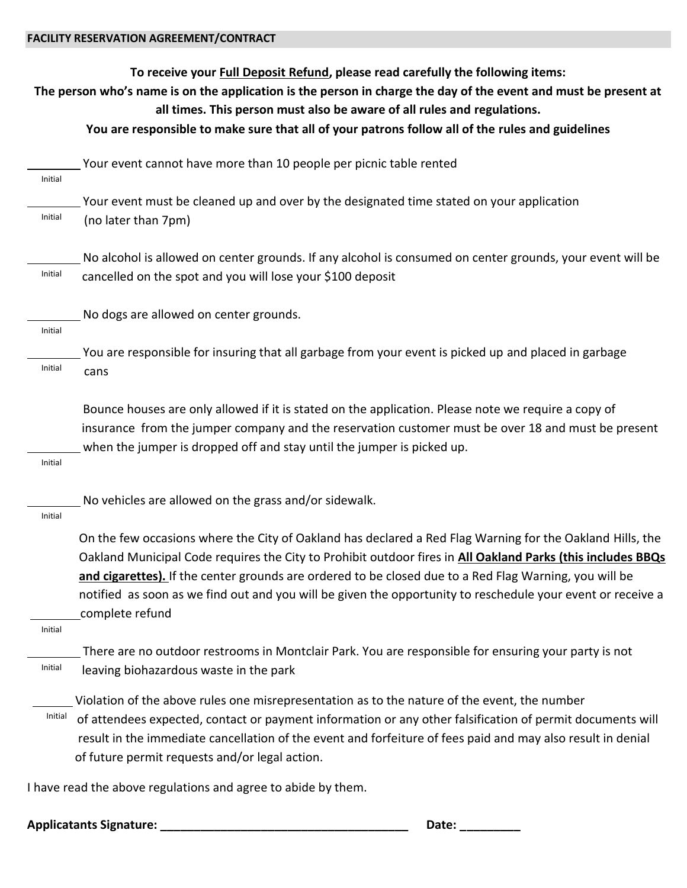| To receive your Full Deposit Refund, please read carefully the following items:<br>The person who's name is on the application is the person in charge the day of the event and must be present at<br>all times. This person must also be aware of all rules and regulations. |                                                                                                                                                                                                                                                                                                                                                                            |  |  |  |  |
|-------------------------------------------------------------------------------------------------------------------------------------------------------------------------------------------------------------------------------------------------------------------------------|----------------------------------------------------------------------------------------------------------------------------------------------------------------------------------------------------------------------------------------------------------------------------------------------------------------------------------------------------------------------------|--|--|--|--|
|                                                                                                                                                                                                                                                                               | You are responsible to make sure that all of your patrons follow all of the rules and guidelines                                                                                                                                                                                                                                                                           |  |  |  |  |
| Initial                                                                                                                                                                                                                                                                       | Your event cannot have more than 10 people per picnic table rented                                                                                                                                                                                                                                                                                                         |  |  |  |  |
|                                                                                                                                                                                                                                                                               | Your event must be cleaned up and over by the designated time stated on your application                                                                                                                                                                                                                                                                                   |  |  |  |  |
| Initial                                                                                                                                                                                                                                                                       | (no later than 7pm)                                                                                                                                                                                                                                                                                                                                                        |  |  |  |  |
|                                                                                                                                                                                                                                                                               | No alcohol is allowed on center grounds. If any alcohol is consumed on center grounds, your event will be                                                                                                                                                                                                                                                                  |  |  |  |  |
| Initial                                                                                                                                                                                                                                                                       | cancelled on the spot and you will lose your \$100 deposit                                                                                                                                                                                                                                                                                                                 |  |  |  |  |
| Initial                                                                                                                                                                                                                                                                       | No dogs are allowed on center grounds.                                                                                                                                                                                                                                                                                                                                     |  |  |  |  |
|                                                                                                                                                                                                                                                                               | You are responsible for insuring that all garbage from your event is picked up and placed in garbage                                                                                                                                                                                                                                                                       |  |  |  |  |
| Initial                                                                                                                                                                                                                                                                       | cans                                                                                                                                                                                                                                                                                                                                                                       |  |  |  |  |
|                                                                                                                                                                                                                                                                               | Bounce houses are only allowed if it is stated on the application. Please note we require a copy of<br>insurance from the jumper company and the reservation customer must be over 18 and must be present                                                                                                                                                                  |  |  |  |  |
| Initial                                                                                                                                                                                                                                                                       | when the jumper is dropped off and stay until the jumper is picked up.                                                                                                                                                                                                                                                                                                     |  |  |  |  |
| Initial                                                                                                                                                                                                                                                                       | No vehicles are allowed on the grass and/or sidewalk.                                                                                                                                                                                                                                                                                                                      |  |  |  |  |
|                                                                                                                                                                                                                                                                               | On the few occasions where the City of Oakland has declared a Red Flag Warning for the Oakland Hills, the<br>Oakland Municipal Code requires the City to Prohibit outdoor fires in All Oakland Parks (this includes BBQs<br>and cigarettes). If the center grounds are ordered to be closed due to a Red Flag Warning, you will be                                         |  |  |  |  |
|                                                                                                                                                                                                                                                                               | notified as soon as we find out and you will be given the opportunity to reschedule your event or receive a<br>complete refund                                                                                                                                                                                                                                             |  |  |  |  |
| Initial                                                                                                                                                                                                                                                                       |                                                                                                                                                                                                                                                                                                                                                                            |  |  |  |  |
| Initial                                                                                                                                                                                                                                                                       | There are no outdoor restrooms in Montclair Park. You are responsible for ensuring your party is not<br>leaving biohazardous waste in the park                                                                                                                                                                                                                             |  |  |  |  |
| Initial                                                                                                                                                                                                                                                                       | Violation of the above rules one misrepresentation as to the nature of the event, the number<br>of attendees expected, contact or payment information or any other falsification of permit documents will<br>result in the immediate cancellation of the event and forfeiture of fees paid and may also result in denial<br>of future permit requests and/or legal action. |  |  |  |  |
|                                                                                                                                                                                                                                                                               | I have read the above regulations and agree to abide by them.                                                                                                                                                                                                                                                                                                              |  |  |  |  |

**Applicatants Signature: \_\_\_\_\_\_\_\_\_\_\_\_\_\_\_\_\_\_\_\_\_\_\_\_\_\_\_\_\_\_\_\_\_\_\_\_\_ Date: \_\_\_\_\_\_\_\_\_**